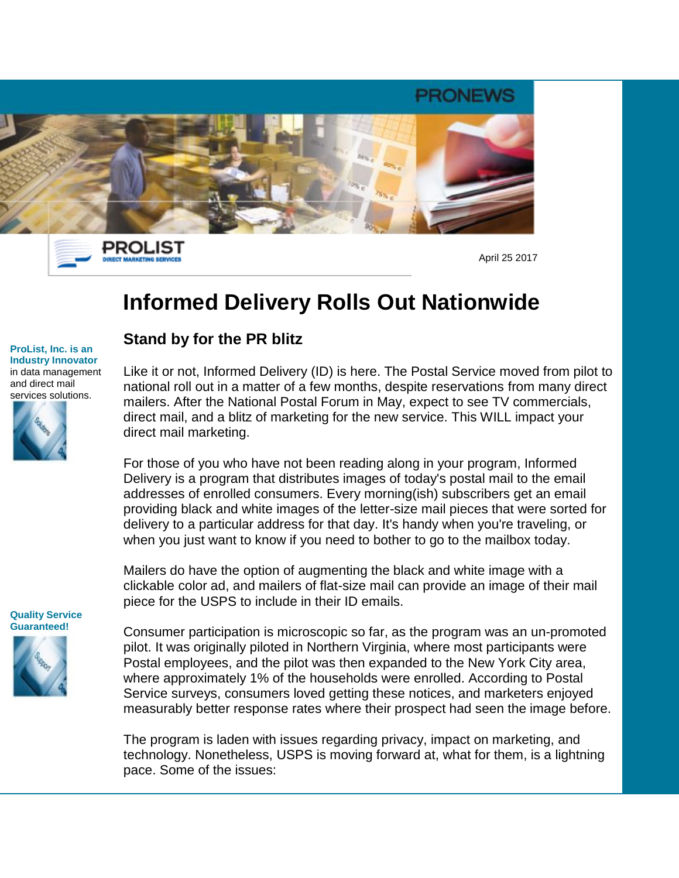

PROLIST **DIRECT MARKETING SERVICES** 

April 25 2017

# **Informed Delivery Rolls Out Nationwide**

#### **ProList, Inc. is an Industry Innovator** in data management and direct mail services solutions.



### **Stand by for the PR blitz**

Like it or not, Informed Delivery (ID) is here. The Postal Service moved from pilot to national roll out in a matter of a few months, despite reservations from many direct mailers. After the National Postal Forum in May, expect to see TV commercials, direct mail, and a blitz of marketing for the new service. This WILL impact your direct mail marketing.

For those of you who have not been reading along in your program, Informed Delivery is a program that distributes images of today's postal mail to the email addresses of enrolled consumers. Every morning(ish) subscribers get an email providing black and white images of the letter-size mail pieces that were sorted for delivery to a particular address for that day. It's handy when you're traveling, or when you just want to know if you need to bother to go to the mailbox today.

Mailers do have the option of augmenting the black and white image with a clickable color ad, and mailers of flat-size mail can provide an image of their mail piece for the USPS to include in their ID emails.

**Quality Service Guaranteed!** 

Consumer participation is microscopic so far, as the program was an un-promoted pilot. It was originally piloted in Northern Virginia, where most participants were Postal employees, and the pilot was then expanded to the New York City area, where approximately 1% of the households were enrolled. According to Postal Service surveys, consumers loved getting these notices, and marketers enjoyed measurably better response rates where their prospect had seen the image before.

The program is laden with issues regarding privacy, impact on marketing, and technology. Nonetheless, USPS is moving forward at, what for them, is a lightning pace. Some of the issues: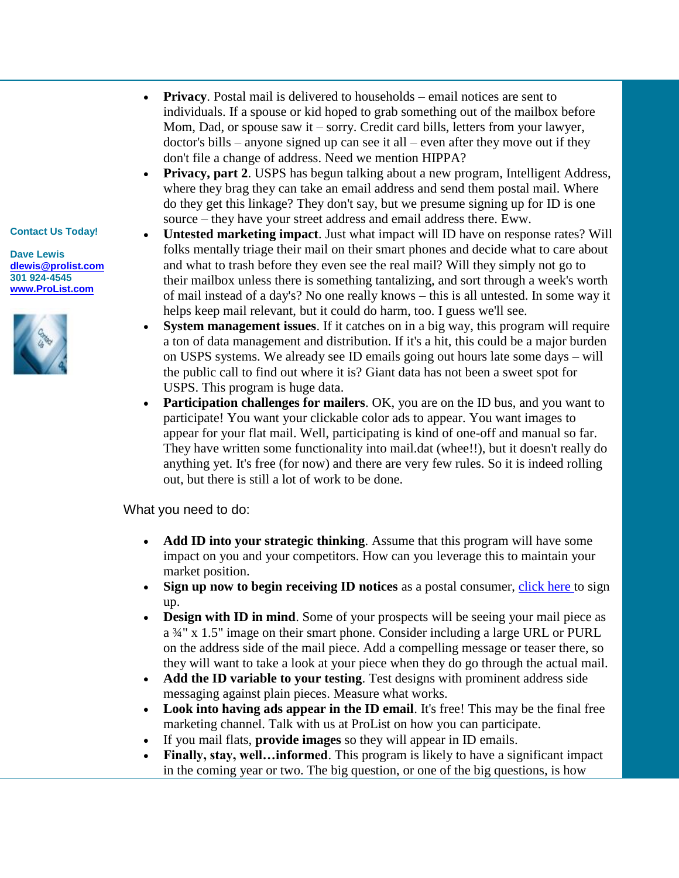### **Contact Us Today!**

**Dave Lewis [dlewis@prolist.com](mailto:dlewis@prolist.com) 301 924-4545 [www.ProList.com](https://click.publicaster.com/ClickThru.aspx?pubids=8251%7c0743%7c18507%7c0549&digest=psYOveJn2Q16bV2LYXna7g&sysid=1)**



- **Privacy**. Postal mail is delivered to households email notices are sent to individuals. If a spouse or kid hoped to grab something out of the mailbox before Mom, Dad, or spouse saw it – sorry. Credit card bills, letters from your lawyer, doctor's bills – anyone signed up can see it all – even after they move out if they don't file a change of address. Need we mention HIPPA?
- **Privacy, part 2**. USPS has begun talking about a new program, Intelligent Address, where they brag they can take an email address and send them postal mail. Where do they get this linkage? They don't say, but we presume signing up for ID is one source – they have your street address and email address there. Eww.
- **Untested marketing impact**. Just what impact will ID have on response rates? Will folks mentally triage their mail on their smart phones and decide what to care about and what to trash before they even see the real mail? Will they simply not go to their mailbox unless there is something tantalizing, and sort through a week's worth of mail instead of a day's? No one really knows – this is all untested. In some way it helps keep mail relevant, but it could do harm, too. I guess we'll see.
- **System management issues**. If it catches on in a big way, this program will require a ton of data management and distribution. If it's a hit, this could be a major burden on USPS systems. We already see ID emails going out hours late some days – will the public call to find out where it is? Giant data has not been a sweet spot for USPS. This program is huge data.
- **Participation challenges for mailers**. OK, you are on the ID bus, and you want to participate! You want your clickable color ads to appear. You want images to appear for your flat mail. Well, participating is kind of one-off and manual so far. They have written some functionality into mail.dat (whee!!), but it doesn't really do anything yet. It's free (for now) and there are very few rules. So it is indeed rolling out, but there is still a lot of work to be done.

What you need to do:

- **Add ID into your strategic thinking**. Assume that this program will have some impact on you and your competitors. How can you leverage this to maintain your market position.
- **Sign up now to begin receiving ID notices** as a postal consumer, [click here t](https://click.publicaster.com/ClickThru.aspx?pubids=8251%7c0858%7c18507%7c0549&digest=VswwMJmMyA7K7%2fFgk7nqDw&sysid=1)o sign up.
- **Design with ID in mind**. Some of your prospects will be seeing your mail piece as a ¾" x 1.5" image on their smart phone. Consider including a large URL or PURL on the address side of the mail piece. Add a compelling message or teaser there, so they will want to take a look at your piece when they do go through the actual mail.
- **Add the ID variable to your testing**. Test designs with prominent address side messaging against plain pieces. Measure what works.
- **Look into having ads appear in the ID email**. It's free! This may be the final free marketing channel. Talk with us at ProList on how you can participate.
- If you mail flats, **provide images** so they will appear in ID emails.
- **Finally, stay, well…informed**. This program is likely to have a significant impact in the coming year or two. The big question, or one of the big questions, is how